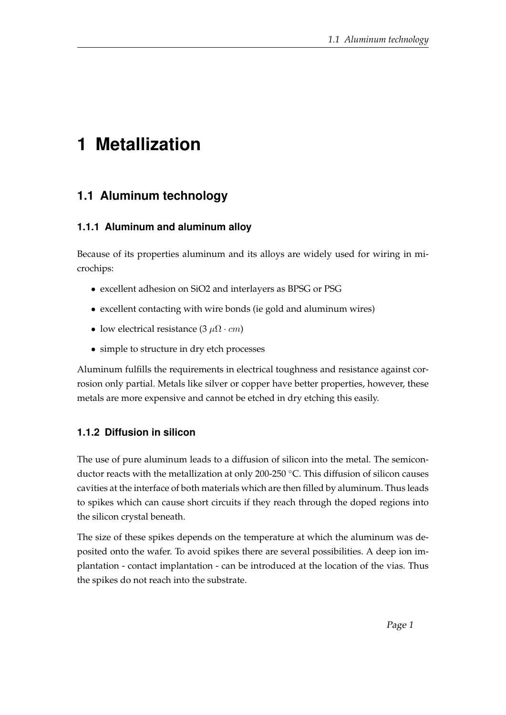# **1 Metallization**

## **1.1 Aluminum technology**

#### **1.1.1 Aluminum and aluminum alloy**

Because of its properties aluminum and its alloys are widely used for wiring in microchips:

- excellent adhesion on SiO2 and interlayers as BPSG or PSG
- excellent contacting with wire bonds (ie gold and aluminum wires)
- low electrical resistance (3  $\mu\Omega \cdot cm$ )
- simple to structure in dry etch processes

Aluminum fulfills the requirements in electrical toughness and resistance against corrosion only partial. Metals like silver or copper have better properties, however, these metals are more expensive and cannot be etched in dry etching this easily.

#### **1.1.2 Diffusion in silicon**

The use of pure aluminum leads to a diffusion of silicon into the metal. The semiconductor reacts with the metallization at only 200-250 ◦C. This diffusion of silicon causes cavities at the interface of both materials which are then filled by aluminum. Thus leads to spikes which can cause short circuits if they reach through the doped regions into the silicon crystal beneath.

The size of these spikes depends on the temperature at which the aluminum was deposited onto the wafer. To avoid spikes there are several possibilities. A deep ion implantation - contact implantation - can be introduced at the location of the vias. Thus the spikes do not reach into the substrate.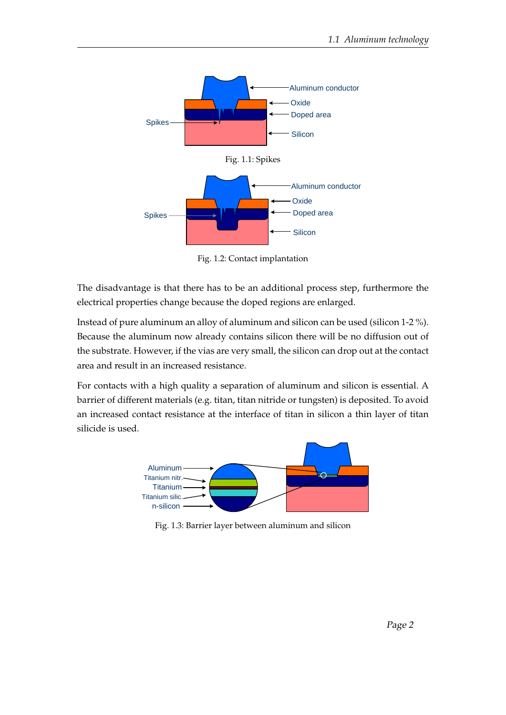

Fig. 1.2: Contact implantation

The disadvantage is that there has to be an additional process step, furthermore the electrical properties change because the doped regions are enlarged.

Instead of pure aluminum an alloy of aluminum and silicon can be used (silicon 1-2 %). Because the aluminum now already contains silicon there will be no diffusion out of the substrate. However, if the vias are very small, the silicon can drop out at the contact area and result in an increased resistance.

For contacts with a high quality a separation of aluminum and silicon is essential. A barrier of different materials (e.g. titan, titan nitride or tungsten) is deposited. To avoid an increased contact resistance at the interface of titan in silicon a thin layer of titan silicide is used.



Fig. 1.3: Barrier layer between aluminum and silicon